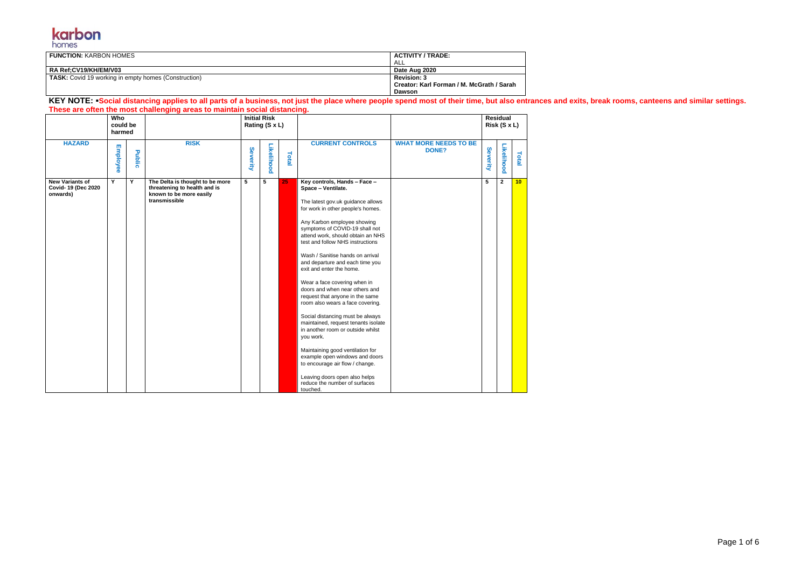

| <b>FUNCTION: KARBON HOMES</b>                               | <b>ACTIVITY / TRADE:</b>                  |
|-------------------------------------------------------------|-------------------------------------------|
|                                                             | ALL                                       |
| RA Ref:CV19/KH/EM/V03                                       | Date Aug 2020                             |
| <b>TASK:</b> Covid 19 working in empty homes (Construction) | <b>Revision: 3</b>                        |
|                                                             | Creator: Karl Forman / M. McGrath / Sarah |
|                                                             | <b>Dawson</b>                             |

## KEY NOTE: **•Social distancing applies to all parts of a business, not just the place where people spend most of their time, but also entrances and exits, break rooms, canteens and similar settings. These are often the most challenging areas to maintain social distancing.**

|                                                          | Who<br>could be<br>harmed |        |                                                                                                             | <b>Initial Risk</b><br>Rating (S x L) |            |       |                                                                                                                                                                                                                                                                                                                                                                                                                                                                                                                                                                                                                                                                                                                                                                                                                                        |                                              |          | Residual<br>Risk (S x L) |                 |
|----------------------------------------------------------|---------------------------|--------|-------------------------------------------------------------------------------------------------------------|---------------------------------------|------------|-------|----------------------------------------------------------------------------------------------------------------------------------------------------------------------------------------------------------------------------------------------------------------------------------------------------------------------------------------------------------------------------------------------------------------------------------------------------------------------------------------------------------------------------------------------------------------------------------------------------------------------------------------------------------------------------------------------------------------------------------------------------------------------------------------------------------------------------------------|----------------------------------------------|----------|--------------------------|-----------------|
| <b>HAZARD</b>                                            | <b>Employee</b>           | Public | <b>RISK</b>                                                                                                 | Severity                              | Likelihood | Total | <b>CURRENT CONTROLS</b>                                                                                                                                                                                                                                                                                                                                                                                                                                                                                                                                                                                                                                                                                                                                                                                                                | <b>WHAT MORE NEEDS TO BE</b><br><b>DONE?</b> | Severity | Likelihood               | Total           |
| <b>New Variants of</b><br>Covid-19 (Dec 2020<br>onwards) | Y                         | Y      | The Delta is thought to be more<br>threatening to health and is<br>known to be more easily<br>transmissible | 5                                     | 5          | 25    | Key controls, Hands - Face -<br>Space - Ventilate.<br>The latest gov.uk guidance allows<br>for work in other people's homes.<br>Any Karbon employee showing<br>symptoms of COVID-19 shall not<br>attend work, should obtain an NHS<br>test and follow NHS instructions<br>Wash / Sanitise hands on arrival<br>and departure and each time you<br>exit and enter the home.<br>Wear a face covering when in<br>doors and when near others and<br>request that anyone in the same<br>room also wears a face covering.<br>Social distancing must be always<br>maintained, request tenants isolate<br>in another room or outside whilst<br>you work.<br>Maintaining good ventilation for<br>example open windows and doors<br>to encourage air flow / change.<br>Leaving doors open also helps<br>reduce the number of surfaces<br>touched. |                                              | 5        | $\mathbf{2}$             | 10 <sub>1</sub> |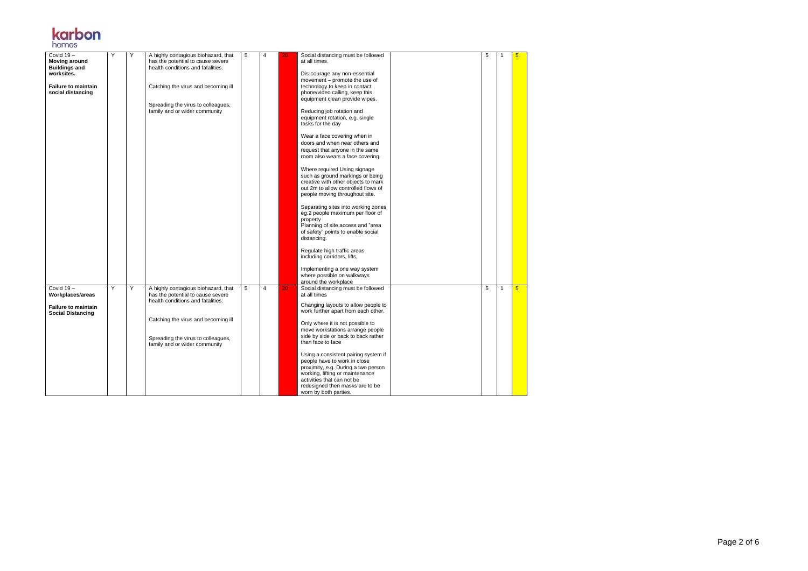Page 2 of 6



| Covid 19-<br><b>Moving around</b><br><b>Buildings and</b><br>worksites. | Υ | Υ | A highly contagious biohazard, that<br>has the potential to cause severe<br>health conditions and fatalities. | 5 | 4              | 20. | Social distancing must be followed<br>at all times.<br>Dis-courage any non-essential<br>movement – promote the use of                                                                                                                    | 5 | -1           | 5               |
|-------------------------------------------------------------------------|---|---|---------------------------------------------------------------------------------------------------------------|---|----------------|-----|------------------------------------------------------------------------------------------------------------------------------------------------------------------------------------------------------------------------------------------|---|--------------|-----------------|
| <b>Failure to maintain</b><br>social distancing                         |   |   | Catching the virus and becoming ill<br>Spreading the virus to colleagues,                                     |   |                |     | technology to keep in contact<br>phone/video calling, keep this<br>equipment clean provide wipes.                                                                                                                                        |   |              |                 |
|                                                                         |   |   | family and or wider community                                                                                 |   |                |     | Reducing job rotation and<br>equipment rotation, e.g. single<br>tasks for the day                                                                                                                                                        |   |              |                 |
|                                                                         |   |   |                                                                                                               |   |                |     | Wear a face covering when in<br>doors and when near others and<br>request that anyone in the same<br>room also wears a face covering.                                                                                                    |   |              |                 |
|                                                                         |   |   |                                                                                                               |   |                |     | Where required Using signage<br>such as ground markings or being<br>creative with other objects to mark<br>out 2m to allow controlled flows of<br>people moving throughout site.                                                         |   |              |                 |
|                                                                         |   |   |                                                                                                               |   |                |     | Separating sites into working zones<br>eg.2 people maximum per floor of<br>property<br>Planning of site access and "area<br>of safety" points to enable social<br>distancing.                                                            |   |              |                 |
|                                                                         |   |   |                                                                                                               |   |                |     | Regulate high traffic areas<br>including corridors, lifts,                                                                                                                                                                               |   |              |                 |
|                                                                         |   |   |                                                                                                               |   |                |     | Implementing a one way system<br>where possible on walkways<br>around the workplace                                                                                                                                                      |   |              |                 |
| Covid $19-$<br>Workplaces/areas                                         | Y | Υ | A highly contagious biohazard, that<br>has the potential to cause severe<br>health conditions and fatalities. | 5 | $\overline{4}$ | 20  | Social distancing must be followed<br>at all times<br>Changing layouts to allow people to                                                                                                                                                | 5 | $\mathbf{1}$ | $5\overline{)}$ |
| <b>Failure to maintain</b><br><b>Social Distancing</b>                  |   |   | Catching the virus and becoming ill                                                                           |   |                |     | work further apart from each other.                                                                                                                                                                                                      |   |              |                 |
|                                                                         |   |   | Spreading the virus to colleagues,<br>family and or wider community                                           |   |                |     | Only where it is not possible to<br>move workstations arrange people<br>side by side or back to back rather<br>than face to face                                                                                                         |   |              |                 |
|                                                                         |   |   |                                                                                                               |   |                |     | Using a consistent pairing system if<br>people have to work in close<br>proximity, e.g. During a two person<br>working, lifting or maintenance<br>activities that can not be<br>redesigned then masks are to be<br>worn by both parties. |   |              |                 |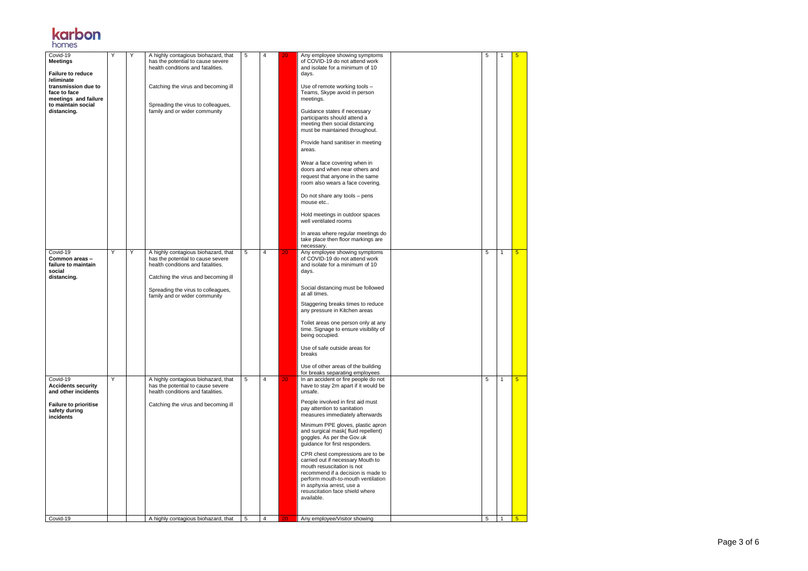Page 3 of 6



| Covid-19<br><b>Meetings</b><br><b>Failure to reduce</b><br>/eliminate<br>transmission due to<br>face to face<br>meetings and failure<br>to maintain social<br>distancing. | Y | Υ | A highly contagious biohazard, that<br>has the potential to cause severe<br>health conditions and fatalities.<br>Catching the virus and becoming ill<br>Spreading the virus to colleagues,<br>family and or wider community | 5 | 4              | 20              | Any employee showing symptoms<br>of COVID-19 do not attend work<br>and isolate for a minimum of 10<br>days.<br>Use of remote working tools -<br>Teams, Skype avoid in person<br>meetings.<br>Guidance states if necessary<br>participants should attend a<br>meeting then social distancing<br>must be maintained throughout.<br>Provide hand sanitiser in meeting<br>areas.<br>Wear a face covering when in<br>doors and when near others and<br>request that anyone in the same<br>room also wears a face covering.<br>Do not share any tools - pens<br>mouse etc                                         | 5 |              | $5\overline{)}$ |
|---------------------------------------------------------------------------------------------------------------------------------------------------------------------------|---|---|-----------------------------------------------------------------------------------------------------------------------------------------------------------------------------------------------------------------------------|---|----------------|-----------------|-------------------------------------------------------------------------------------------------------------------------------------------------------------------------------------------------------------------------------------------------------------------------------------------------------------------------------------------------------------------------------------------------------------------------------------------------------------------------------------------------------------------------------------------------------------------------------------------------------------|---|--------------|-----------------|
|                                                                                                                                                                           |   |   |                                                                                                                                                                                                                             |   |                |                 | Hold meetings in outdoor spaces<br>well ventilated rooms<br>In areas where regular meetings do<br>take place then floor markings are                                                                                                                                                                                                                                                                                                                                                                                                                                                                        |   |              |                 |
| Covid-19<br>Common areas-<br>failure to maintain<br>social<br>distancing.                                                                                                 | Y | Y | A highly contagious biohazard, that<br>has the potential to cause severe<br>health conditions and fatalities.<br>Catching the virus and becoming ill<br>Spreading the virus to colleagues,<br>family and or wider community | 5 | 4              | 20 <sub>1</sub> | necessary.<br>Any employee showing symptoms<br>of COVID-19 do not attend work<br>and isolate for a minimum of 10<br>days.<br>Social distancing must be followed<br>at all times.<br>Staggering breaks times to reduce<br>any pressure in Kitchen areas<br>Toilet areas one person only at any<br>time. Signage to ensure visibility of<br>being occupied.<br>Use of safe outside areas for<br>breaks<br>Use of other areas of the building<br>for breaks separating employees                                                                                                                               | 5 | $\mathbf{1}$ | $5\overline{)}$ |
| Covid-19<br><b>Accidents security</b><br>and other incidents<br><b>Failure to prioritise</b><br>safety during<br>incidents                                                | Y |   | A highly contagious biohazard, that<br>has the potential to cause severe<br>health conditions and fatalities.<br>Catching the virus and becoming ill                                                                        | 5 | $\overline{4}$ | 20              | In an accident or fire people do not<br>have to stay 2m apart if it would be<br>unsafe.<br>People involved in first aid must<br>pay attention to sanitation<br>measures immediately afterwards<br>Minimum PPE gloves, plastic apron<br>and surgical mask( fluid repellent)<br>goggles. As per the Gov.uk<br>guidance for first responders.<br>CPR chest compressions are to be<br>carried out if necessary Mouth to<br>mouth resuscitation is not<br>recommend if a decision is made to<br>perform mouth-to-mouth ventilation<br>in asphyxia arrest, use a<br>resuscitation face shield where<br>available. | 5 | $\mathbf{1}$ | $5\overline{)}$ |
| Covid-19                                                                                                                                                                  |   |   | A highly contagious biohazard, that                                                                                                                                                                                         | 5 | 4              | 20              | Any employee/Visitor showing                                                                                                                                                                                                                                                                                                                                                                                                                                                                                                                                                                                | 5 |              | 5               |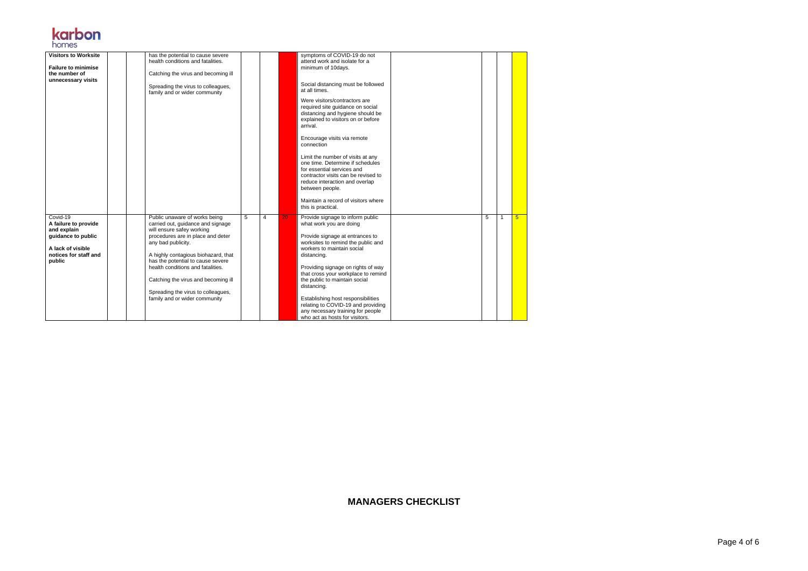Page 4 of 6

| <b>Visitors to Worksite</b><br><b>Failure to minimise</b><br>the number of<br>unnecessary visits                              | has the potential to cause severe<br>health conditions and fatalities.<br>Catching the virus and becoming ill<br>Spreading the virus to colleagues,<br>family and or wider community                                                                                                                                                                                                      |   |   |    | symptoms of COVID-19 do not<br>attend work and isolate for a<br>minimum of 10days.<br>Social distancing must be followed<br>at all times.<br>Were visitors/contractors are<br>required site guidance on social<br>distancing and hygiene should be<br>explained to visitors on or before<br>arrival.<br>Encourage visits via remote<br>connection<br>Limit the number of visits at any<br>one time. Determine if schedules<br>for essential services and<br>contractor visits can be revised to<br>reduce interaction and overlap<br>between people.<br>Maintain a record of visitors where<br>this is practical. |   |   |                |
|-------------------------------------------------------------------------------------------------------------------------------|-------------------------------------------------------------------------------------------------------------------------------------------------------------------------------------------------------------------------------------------------------------------------------------------------------------------------------------------------------------------------------------------|---|---|----|-------------------------------------------------------------------------------------------------------------------------------------------------------------------------------------------------------------------------------------------------------------------------------------------------------------------------------------------------------------------------------------------------------------------------------------------------------------------------------------------------------------------------------------------------------------------------------------------------------------------|---|---|----------------|
| Covid-19<br>A failure to provide<br>and explain<br>guidance to public<br>A lack of visible<br>notices for staff and<br>public | Public unaware of works being<br>carried out, guidance and signage<br>will ensure safey working<br>procedures are in place and deter<br>any bad publicity.<br>A highly contagious biohazard, that<br>has the potential to cause severe<br>health conditions and fatalities.<br>Catching the virus and becoming ill<br>Spreading the virus to colleagues,<br>family and or wider community | 5 | 4 | 20 | Provide signage to inform public<br>what work you are doing<br>Provide signage at entrances to<br>worksites to remind the public and<br>workers to maintain social<br>distancing.<br>Providing signage on rights of way<br>that cross your workplace to remind<br>the public to maintain social<br>distancing.<br>Establishing host responsibilities<br>relating to COVID-19 and providing<br>any necessary training for people<br>who act as hosts for visitors.                                                                                                                                                 | 5 | 1 | 5 <sup>5</sup> |

## **karbon**

**MANAGERS CHECKLIST**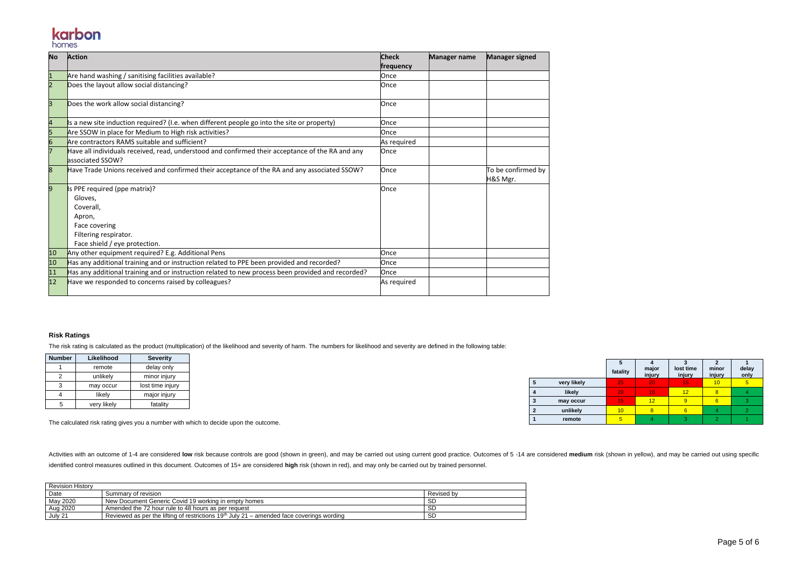## karbon homes

| <b>No</b>      | <b>Action</b>                                                                                                                              | <b>Check</b><br>frequency | <b>Manager name</b> | <b>Manager signed</b>          |
|----------------|--------------------------------------------------------------------------------------------------------------------------------------------|---------------------------|---------------------|--------------------------------|
| $\overline{1}$ | Are hand washing / sanitising facilities available?                                                                                        | Once                      |                     |                                |
| $\overline{2}$ | Does the layout allow social distancing?                                                                                                   | Once                      |                     |                                |
| 3              | Does the work allow social distancing?                                                                                                     | Once                      |                     |                                |
|                | Is a new site induction required? (I.e. when different people go into the site or property)                                                | Once                      |                     |                                |
| 5              | Are SSOW in place for Medium to High risk activities?                                                                                      | Once                      |                     |                                |
| 6              | Are contractors RAMS suitable and sufficient?                                                                                              | As required               |                     |                                |
|                | Have all individuals received, read, understood and confirmed their acceptance of the RA and any<br>associated SSOW?                       | Once                      |                     |                                |
| 8              | Have Trade Unions received and confirmed their acceptance of the RA and any associated SSOW?                                               | Once                      |                     | To be confirmed by<br>H&S Mgr. |
| 9              | Is PPE required (ppe matrix)?<br>Gloves,<br>Coverall,<br>Apron,<br>Face covering<br>Filtering respirator.<br>Face shield / eye protection. | Once                      |                     |                                |
| 10             | Any other equipment required? E.g. Additional Pens                                                                                         | Once                      |                     |                                |
| 10             | Has any additional training and or instruction related to PPE been provided and recorded?                                                  | Once                      |                     |                                |
| 11             | Has any additional training and or instruction related to new process been provided and recorded?                                          | Once                      |                     |                                |
| 12             | Have we responded to concerns raised by colleagues?                                                                                        | As required               |                     |                                |

Activities with an outcome of 1-4 are considered low risk because controls are good (shown in green), and may be carried out using current good practice. Outcomes of 5 -14 are considered medium risk (shown in yellow), and identified control measures outlined in this document. Outcomes of 15+ are considered **high** risk (shown in red), and may only be carried out by trained personnel.

## **Risk Ratings**

The risk rating is calculated as the product (multiplication) of the likelihood and severity of harm. The numbers for likelihood and severity are defined in the following table:

| <b>Number</b> | Likelihood  | <b>Severity</b>  |
|---------------|-------------|------------------|
|               | remote      | delay only       |
| 2             | unlikely    | minor injury     |
| 3             | may occur   | lost time injury |
|               | likely      | major injury     |
| 5             | very likely | fatality         |

The calculated risk rating gives you a number with which to decide upon the outcome.

| <b>Revision History</b> |                                                                                             |            |
|-------------------------|---------------------------------------------------------------------------------------------|------------|
| Date                    | Summary of revision                                                                         | Revised by |
| May 2020                | New Document Generic Covid 19 working in empty homes                                        |            |
| Aug 2020                | Amended the 72 hour rule to 48 hours as per request                                         |            |
| July 21                 | Reviewed as per the lifting of restrictions $19th$ July 21 – amended face coverings wording | SL         |

|                |             | Ð<br>fatality | major<br>injury | lost time<br>injury | minor<br>injury | delay<br>only  |
|----------------|-------------|---------------|-----------------|---------------------|-----------------|----------------|
| 5              | very likely | 25            | 20              | 15                  | 10              | 5 <sub>5</sub> |
|                | likely      | 20            | 16              | 12                  | 8               |                |
| -3             | may occur   | 15            | 12              | 9                   | 6               | 3              |
| $\overline{2}$ | unlikely    | 10            | 8               | 6                   |                 |                |
|                | remote      |               |                 |                     |                 |                |